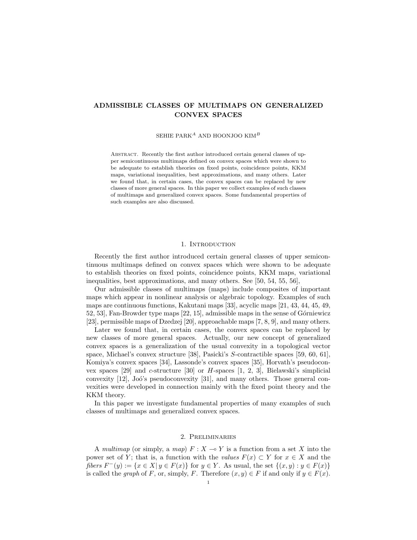## ADMISSIBLE CLASSES OF MULTIMAPS ON GENERALIZED CONVEX SPACES

SEHIE PARK<sup>A</sup> AND HOONJOO KIM<sup>B</sup>

Abstract. Recently the first author introduced certain general classes of upper semicontinuous multimaps defined on convex spaces which were shown to be adequate to establish theories on fixed points, coincidence points, KKM maps, variational inequalities, best approximations, and many others. Later we found that, in certain cases, the convex spaces can be replaced by new classes of more general spaces. In this paper we collect examples of such classes of multimaps and generalized convex spaces. Some fundamental properties of such examples are also discussed.

## 1. INTRODUCTION

Recently the first author introduced certain general classes of upper semicontinuous multimaps defined on convex spaces which were shown to be adequate to establish theories on fixed points, coincidence points, KKM maps, variational inequalities, best approximations, and many others. See [50, 54, 55, 56],

Our admissible classes of multimaps (maps) include composites of important maps which appear in nonlinear analysis or algebraic topology. Examples of such maps are continuous functions, Kakutani maps [33], acyclic maps [21, 43, 44, 45, 49, 52, 53], Fan-Browder type maps [22, 15], admissible maps in the sense of G´orniewicz [23], permissible maps of Dzedzej [20], approachable maps [7, 8, 9], and many others.

Later we found that, in certain cases, the convex spaces can be replaced by new classes of more general spaces. Actually, our new concept of generalized convex spaces is a generalization of the usual convexity in a topological vector space, Michael's convex structure [38], Pasicki's S-contractible spaces [59, 60, 61], Komiya's convex spaces [34], Lassonde's convex spaces [35], Horvath's pseudoconvex spaces  $[29]$  and c-structure  $[30]$  or H-spaces  $[1, 2, 3]$ , Bielawski's simplicial convexity  $[12]$ , Joó's pseudoconvexity  $[31]$ , and many others. Those general convexities were developed in connection mainly with the fixed point theory and the KKM theory.

In this paper we investigate fundamental properties of many examples of such classes of multimaps and generalized convex spaces.

## 2. Preliminaries

A multimap (or simply, a map)  $F: X \to Y$  is a function from a set X into the power set of Y; that is, a function with the values  $F(x) \subset Y$  for  $x \in X$  and the fibers  $F^-(y) := \{x \in X | y \in F(x)\}$  for  $y \in Y$ . As usual, the set  $\{(x, y) : y \in F(x)\}$ is called the graph of F, or, simply, F. Therefore  $(x, y) \in F$  if and only if  $y \in F(x)$ .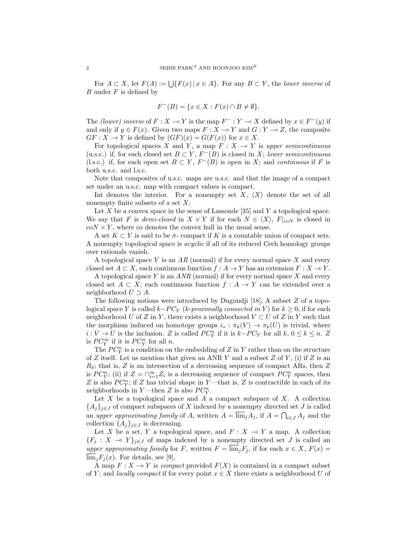For  $A \subset X$ , let  $F(A) := \bigcup \{ F(x) \mid x \in A \}$ . For any  $B \subset Y$ , the lower inverse of  $B$  under  $F$  is defined by

$$
F^{-}(B) = \{ x \in X : F(x) \cap B \neq \emptyset \}.
$$

The (lower) inverse of  $F : X \to Y$  is the map  $F^- : Y \to X$  defined by  $x \in F^-(y)$  if and only if  $y \in F(x)$ . Given two maps  $F : X \to Y$  and  $G : Y \to Z$ , the composite  $GF: X \to Y$  is defined by  $(GF)(x) = G(F(x))$  for  $x \in X$ .

For topological spaces X and Y, a map  $F : X \to Y$  is upper semicontinuous (u.s.c.) if, for each closed set  $B \subset Y$ ,  $F^{-}(B)$  is closed in X; lower semicontinuous (l.s.c.) if, for each open set  $B \subset Y$ ,  $F^{-}(B)$  is open in X; and *continuous* if F is both u.s.c. and l.s.c.

Note that composites of u.s.c. maps are u.s.c. and that the image of a compact set under an u.s.c. map with compact values is compact.

Int denotes the interior. For a nonempty set  $X$ ,  $\langle X \rangle$  denote the set of all nonempty finite subsets of a set  $X$ .

Let  $X$  be a convex space in the sense of Lassonde [35] and  $Y$  a topological space. We say that F is demi-closed in  $X \times Y$  if for each  $N \in \langle X \rangle$ ,  $F|_{\text{co}N}$  is closed in  $\text{co}N \times Y$ , where co denotes the convex hull in the usual sense.

A set  $K \subset Y$  is said to be  $\sigma$ - compact if K is a countable union of compact sets. A nonempty topological space is acyclic if all of its reduced Cech homology groups over rationals vanish.

A topological space Y is an  $AR$  (normal) if for every normal space X and every closed set  $A \subset X$ , each continuous function  $f : A \to Y$  has an extension  $F : X \to Y$ .

A topological space  $Y$  is an  $ANR$  (normal) if for every normal space  $X$  and every closed set  $A \subset X$ , each continuous function  $f : A \to Y$  can be extended over a neighborhood  $U \supset A$ .

The following notions were introduced by Dugundji [18], A subset Z of a topological space Y is called  $k-PC_Y$  (k-proximally connected in Y) for  $k \geq 0$ , if for each neighborhood U of Z in Y, there exists a neighborhood  $V \subset U$  of Z in Y such that the morphism induced on homotopy groups  $i_* : \pi_k(V) \to \pi_k(U)$  is trivial, where  $i: V \to U$  is the inclusion. Z is called  $PC_Y^n$  if it is  $k-PC_Y$  for all  $k, 0 \le k \le n$ . Z is  $PC_Y^{\infty}$  if it is  $PC_Y^n$  for all n.

The  $PC_Y^n$  is a condition on the embedding of Z in Y rather than on the structure of Z itself. Let us mention that given an ANR Y and a subset  $Z$  of Y, (i) if  $Z$  is an  $R_{\delta}$ ; that is, Z is an intersection of a decreasing sequence of compact ARs, then Z is  $PC_Y^n$ ; (ii) if  $Z = \bigcap_{i=1}^{\infty} Z_i$  is a decreasing sequence of compact  $PC_Y^n$  spaces, then Z is also  $PC_Y^n$ ; if Z has trivial shape in Y—that is, Z is contractible in each of its neighborhoods in Y—then Z is also  $PC_Y^n$ .

Let  $X$  be a topological space and  $A$  a compact subspace of  $X$ . A collection  ${A_j}_{j \in J}$  of compact subspaces of X indexed by a nonempty directed set J is called an upper approximating family of A, written  $A = \overline{\lim}_j A_j$ , if  $A = \bigcap_{i \in J} A_j$  and the collection  $\{A_j\}_{j\in J}$  is decreasing.

Let X be a set, Y a topological space, and  $F : X \longrightarrow Y$  a map. A collection  ${F_j : X \multimap Y}_{j \in J}$  of maps indexed by a nonempty directed set J is called an upper approximating family for F, written  $F = \lim_j F_j$ , if for each  $x \in X$ ,  $F(x) =$  $\lim_{i} F_i(x)$ . For details, see [9],

A map  $F: X \longrightarrow Y$  is compact provided  $F(X)$  is contained in a compact subset of Y; and locally compact if for every point  $x \in X$  there exists a neighborhood U of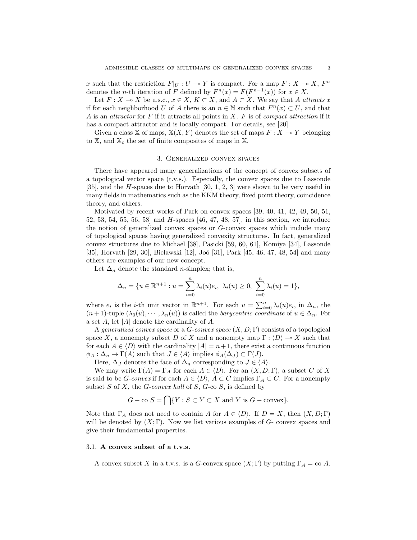x such that the restriction  $F|_U : U \to Y$  is compact. For a map  $F : X \to X$ ,  $F^n$ denotes the *n*-th iteration of F defined by  $F^{n}(x) = F(F^{n-1}(x))$  for  $x \in X$ .

Let  $F: X \to X$  be u.s.c.,  $x \in X, K \subset X$ , and  $A \subset X$ . We say that A attracts x if for each neighborhood U of A there is an  $n \in \mathbb{N}$  such that  $F^n(x) \subset U$ , and that A is an attractor for F if it attracts all points in  $X$ . F is of compact attraction if it has a compact attractor and is locally compact. For details, see [20].

Given a class X of maps,  $X(X, Y)$  denotes the set of maps  $F: X \rightarrow Y$  belonging to  $\mathbb{X}$ , and  $\mathbb{X}_c$  the set of finite composites of maps in  $\mathbb{X}$ .

#### 3. Generalized convex spaces

There have appeared many generalizations of the concept of convex subsets of a topological vector space (t.v.s.). Especially, the convex spaces due to Lassonde [35], and the H-spaces due to Horvath [30, 1, 2, 3] were shown to be very useful in many fields in mathematics such as the KKM theory, fixed point theory, coincidence theory, and others.

Motivated by recent works of Park on convex spaces [39, 40, 41, 42, 49, 50, 51, 52, 53, 54, 55, 56, 58] and H-spaces [46, 47, 48, 57], in this section, we introduce the notion of generalized convex spaces or G-convex spaces which include many of topological spaces having generalized convexity structures. In fact, generalized convex structures due to Michael [38], Pasicki [59, 60, 61], Komiya [34], Lassonde [35], Horvath [29, 30], Bielawski [12], Joó [31], Park [45, 46, 47, 48, 54] and many others are examples of our new concept.

Let  $\Delta_n$  denote the standard *n*-simplex; that is,

$$
\Delta_n = \{ u \in \mathbb{R}^{n+1} : u = \sum_{i=0}^n \lambda_i(u) e_i, \ \lambda_i(u) \ge 0, \ \sum_{i=0}^n \lambda_i(u) = 1 \},\
$$

where  $e_i$  is the *i*-th unit vector in  $\mathbb{R}^{n+1}$ . For each  $u = \sum_{i=0}^{n} \lambda_i(u)e_i$ , in  $\Delta_n$ , the  $(n+1)$ -tuple  $(\lambda_0(u), \dots, \lambda_n(u))$  is called the *barycentric coordinate* of  $u \in \Delta_n$ . For a set  $A$ , let |A| denote the cardinality of  $A$ .

A generalized convex space or a  $G$ -convex space  $(X, D; \Gamma)$  consists of a topological space X, a nonempty subset D of X and a nonempty map  $\Gamma : \langle D \rangle \to X$  such that for each  $A \in \langle D \rangle$  with the cardinality  $|A| = n + 1$ , there exist a continuous function  $\phi_A : \Delta_n \to \Gamma(A)$  such that  $J \in \langle A \rangle$  implies  $\phi_A(\Delta_J) \subset \Gamma(J)$ .

Here,  $\Delta_J$  denotes the face of  $\Delta_n$  corresponding to  $J \in \langle A \rangle$ .

We may write  $\Gamma(A) = \Gamma_A$  for each  $A \in \langle D \rangle$ . For an  $(X, D; \Gamma)$ , a subset C of X is said to be *G-convex* if for each  $A \in \langle D \rangle$ ,  $A \subset C$  implies  $\Gamma_A \subset C$ . For a nonempty subset  $S$  of  $X$ , the  $G$ -convex hull of  $S$ ,  $G$ -co  $S$ , is defined by

$$
G - \text{co } S = \bigcap \{ Y : S \subset Y \subset X \text{ and } Y \text{ is } G - \text{convex} \}.
$$

Note that  $\Gamma_A$  does not need to contain A for  $A \in \langle D \rangle$ . If  $D = X$ , then  $(X, D; \Gamma)$ will be denoted by  $(X; \Gamma)$ . Now we list various examples of  $G$ - convex spaces and give their fundamental properties.

## 3.1. A convex subset of a t.v.s.

A convex subset X in a t.v.s. is a G-convex space  $(X; \Gamma)$  by putting  $\Gamma_A = \text{co } A$ .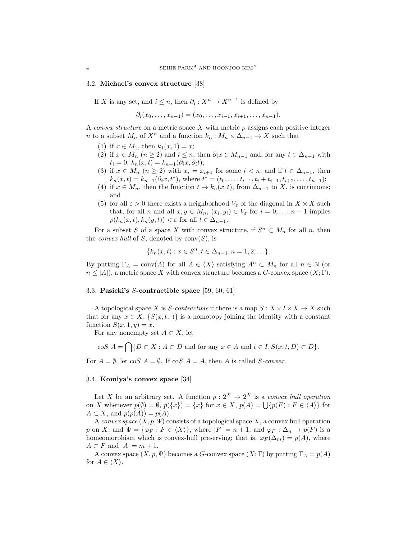### 3.2. Michael's convex structure [38]

If X is any set, and  $i \leq n$ , then  $\partial_i : X^n \to X^{n-1}$  is defined by

 $\partial_i(x_0, \ldots, x_{n-1}) = (x_0, \ldots, x_{i-1}, x_{i+1}, \ldots, x_{n-1}).$ 

A convex structure on a metric space X with metric  $\rho$  assigns each positive integer n to a subset  $M_n$  of  $X^n$  and a function  $k_n : M_n \times \Delta_{n-1} \to X$  such that

- (1) if  $x \in M_1$ , then  $k_1(x, 1) = x$ ;
- (2) if  $x \in M_n$   $(n \ge 2)$  and  $i \le n$ , then  $\partial_i x \in M_{n-1}$  and, for any  $t \in \Delta_{n-1}$  with  $t_i = 0, k_n(x, t) = k_{n-1}(\partial_i x, \partial_i t);$
- (3) if  $x \in M_n$   $(n \geq 2)$  with  $x_i = x_{i+1}$  for some  $i < n$ , and if  $t \in \Delta_{n-1}$ , then  $k_n(x,t) = k_{n-1}(\partial_i x, t^*)$ , where  $t^* = (t_0, \ldots, t_{i-1}, t_i + t_{i+1}, t_{i+2}, \ldots, t_{n-1});$
- (4) if  $x \in M_n$ , then the function  $t \to k_n(x, t)$ , from  $\Delta_{n-1}$  to X, is continuous; and
- (5) for all  $\varepsilon > 0$  there exists a neighborhood  $V_{\varepsilon}$  of the diagonal in  $X \times X$  such that, for all *n* and all  $x, y \in M_n$ ,  $(x_i, y_i) \in V_\varepsilon$  for  $i = 0, \ldots, n-1$  implies  $\rho(k_n(x,t), k_n(y,t)) < \varepsilon$  for all  $t \in \Delta_{n-1}$ .

For a subset S of a space X with convex structure, if  $S<sup>n</sup> \subset M_n$  for all n, then the *convex hull* of S, denoted by  $conv(S)$ , is

$$
\{k_n(x,t): x \in S^n, t \in \Delta_{n-1}, n = 1,2,...\}.
$$

By putting  $\Gamma_A = \text{conv}(A)$  for all  $A \in \langle X \rangle$  satisfying  $A^n \subset M_n$  for all  $n \in \mathbb{N}$  (or  $n \leq |A|$ , a metric space X with convex structure becomes a G-convex space  $(X; \Gamma)$ .

## 3.3. Pasicki's S-contractible space [59, 60, 61]

A topological space X is S-contractible if there is a map  $S: X \times I \times X \rightarrow X$  such that for any  $x \in X$ ,  $\{S(x, t, \cdot)\}\$ is a homotopy joining the identity with a constant function  $S(x, 1, y) = x$ .

For any nonempty set  $A \subset X$ , let

$$
\cos A = \bigcap \{ D \subset X : A \subset D \text{ and for any } x \in A \text{ and } t \in I, S(x, t, D) \subset D \}.
$$

For  $A = \emptyset$ , let cos  $A = \emptyset$ . If cos  $A = A$ , then A is called S-convex.

## 3.4. Komiya's convex space [34]

Let X be an arbitrary set. A function  $p: 2^X \to 2^X$  is a convex hull operation on X whenever  $p(\emptyset) = \emptyset$ ,  $p({x}) = {x}$  for  $x \in X$ ,  $p(A) = \bigcup {p(F) : F \in \langle A \rangle}$  for  $A \subset X$ , and  $p(p(A)) = p(A)$ .

A convex space  $(X, p, \Psi)$  consists of a topological space X, a convex hull operation p on X, and  $\Psi = {\varphi_F : F \in \langle X \rangle},$  where  $|F| = n + 1$ , and  $\varphi_F : \Delta_n \to p(F)$  is a homeomorphism which is convex-hull preserving; that is,  $\varphi_F(\Delta_m) = p(A)$ , where  $A \subset F$  and  $|A| = m + 1$ .

A convex space  $(X, p, \Psi)$  becomes a G-convex space  $(X, \Gamma)$  by putting  $\Gamma_A = p(A)$ for  $A \in \langle X \rangle$ .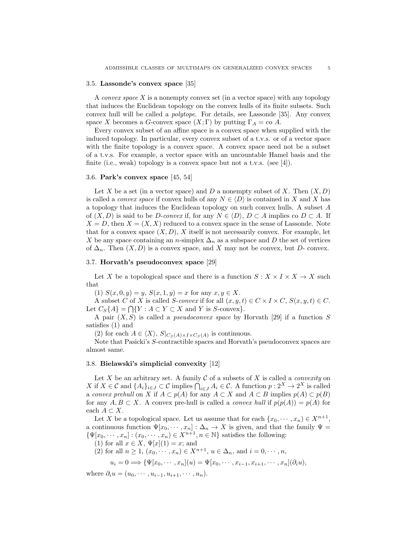### 3.5. Lassonde's convex space [35]

A *convex space*  $X$  is a nonempty convex set (in a vector space) with any topology that induces the Euclidean topology on the convex hulls of its finite subsets. Such convex hull will be called a polytope. For details, see Lassonde [35]. Any convex space X becomes a G-convex space  $(X; \Gamma)$  by putting  $\Gamma_A = \text{co } A$ .

Every convex subset of an affine space is a convex space when supplied with the induced topology. In particular, every convex subset of a t.v.s. or of a vector space with the finite topology is a convex space. A convex space need not be a subset of a t.v.s. For example, a vector space with an uncountable Hamel basis and the finite (i.e., weak) topology is a convex space but not a t.v.s. (see [4]).

### 3.6. Park's convex space [45, 54]

Let X be a set (in a vector space) and D a nonempty subset of X. Then  $(X, D)$ is called a *convex space* if convex hulls of any  $N \in \langle D \rangle$  is contained in X and X has a topology that induces the Euclidean topology on such convex hulls. A subset A of  $(X, D)$  is said to be D-convex if, for any  $N \in \langle D \rangle$ ,  $D \subset A$  implies co  $D \subset A$ . If  $X = D$ , then  $X = (X, X)$  reduced to a convex space in the sense of Lassonde. Note that for a convex space  $(X, D)$ , X itself is not necessarily convex. For example, let X be any space containing an n-simplex  $\Delta_n$  as a subspace and D the set of vertices of  $\Delta_n$ . Then  $(X, D)$  is a convex space, and X may not be convex, but D- convex.

## 3.7. Horvath's pseudoconvex space [29]

Let X be a topological space and there is a function  $S: X \times I \times X \to X$  such that

(1)  $S(x, 0, y) = y$ ,  $S(x, 1, y) = x$  for any  $x, y \in X$ .

A subset C of X is called S-convex if for all  $(x, y, t) \in C \times I \times C$ ,  $S(x, y, t) \in C$ . Let  $C_S\{A\} = \bigcap \{Y : A \subset Y \subset X \text{ and } Y \text{ is } S\text{-convex}\}.$ 

A pair  $(X, S)$  is called a *pseudoconvex space* by Horvath [29] if a function S satisfies (1) and

(2) for each  $A \in \langle X \rangle$ ,  $S|_{C_S(A) \times I \times C_S(A)}$  is continuous.

Note that Pasicki's S-contractible spaces and Horvath's pseudoconvex spaces are almost same.

## 3.8. Bielawski's simplicial convexity [12]

Let X be an arbitrary set. A family  $\mathcal C$  of a subsets of X is called a *convexity* on X if  $X \in \mathcal{C}$  and  $\{A_i\}_{i \in J} \subset \mathcal{C}$  implies  $\bigcap_{i \in J} A_i \in \mathcal{C}$ . A function  $p: 2^X \to 2^X$  is called a convex prehull on X if  $A \subset p(A)$  for any  $A \subset X$  and  $A \subset B$  implies  $p(A) \subset p(B)$ for any  $A, B \subset X$ . A convex pre-hull is called a *convex hull* if  $p(p(A)) = p(A)$  for each  $A \subset X$ .

Let X be a topological space. Let us assume that for each  $\{x_0, \dots, x_n\} \in X^{n+1}$ , a continuous function  $\Psi[x_0, \dots, x_n] : \Delta_n \to X$  is given, and that the family  $\Psi =$  $\{\Psi[x_0,\dots,x_n]:(x_0,\dots,x_n)\in X^{n+1}, n\in\mathbb{N}\}\$  satisfies the following:

(1) for all  $x \in X$ ,  $\Psi[x](1) = x$ ; and

(2) for all  $n \ge 1$ ,  $(x_0, \dots, x_n) \in X^{n+1}$ ,  $u \in \Delta_n$ , and  $i = 0, \dots, n$ ,

$$
u_i = 0 \Longrightarrow \{\Psi[x_0, \cdots, x_n](u) = \Psi[x_0, \cdots, x_{i-1}, x_{i+1}, \cdots, x_n](\partial_i u),
$$

where  $\partial_i u = (u_0, \cdots, u_{i-1}, u_{i+1}, \cdots, u_n).$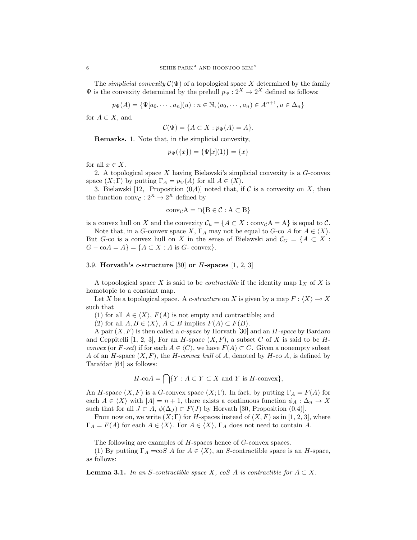The *simplicial convexity*  $C(\Psi)$  of a topological space X determined by the family  $\Psi$  is the convexity determined by the prehull  $p_{\Psi}: 2^X \to 2^X$  defined as follows:

$$
p_{\Psi}(A) = \{ \Psi[a_0, \cdots, a_n](u) : n \in \mathbb{N}, (a_0, \cdots, a_n) \in A^{n+1}, u \in \Delta_n \}
$$

for  $A \subset X$ , and

$$
\mathcal{C}(\Psi) = \{ A \subset X : p_{\Psi}(A) = A \}.
$$

Remarks. 1. Note that, in the simplicial convexity,

$$
p_{\Psi}(\{x\}) = \{\Psi[x](1)\} = \{x\}
$$

for all  $x \in X$ .

2. A topological space  $X$  having Bielawski's simplicial convexity is a  $G$ -convex space  $(X; \Gamma)$  by putting  $\Gamma_A = p_{\Psi}(A)$  for all  $A \in \langle X \rangle$ .

3. Bielawski [12, Proposition  $(0,4)$ ] noted that, if C is a convexity on X, then the function  $conv_{\mathcal{C}} : 2^X \to 2^X$  defined by

$$
conv_{\mathcal{C}} A = \cap \{B \in \mathcal{C} : A \subset B\}
$$

is a convex hull on X and the convexity  $C_h = \{A \subset X : \text{conv}_{\mathcal{C}} A = A\}$  is equal to C.

Note that, in a G-convex space X,  $\Gamma_A$  may not be equal to G-co A for  $A \in \langle X \rangle$ . But G-co is a convex hull on X in the sense of Bielawski and  $\mathcal{C}_G = \{A \subset X :$  $G - \mathrm{co}A = A$ } = { $A \subset X : A$  is  $G$ - convex}.

## 3.9. Horvath's c-structure [30] or  $H$ -spaces [1, 2, 3]

A topoological space X is said to be *contractible* if the identity map  $1_X$  of X is homotopic to a constant map.

Let X be a topological space. A c-structure on X is given by a map  $F : \langle X \rangle \to X$ such that

(1) for all  $A \in \langle X \rangle$ ,  $F(A)$  is not empty and contractible; and

(2) for all  $A, B \in \langle X \rangle$ ,  $A \subset B$  implies  $F(A) \subset F(B)$ .

A pair  $(X, F)$  is then called a *c*-space by Horvath [30] and an *H*-space by Bardaro and Ceppitelli [1, 2, 3], For an H-space  $(X, F)$ , a subset C of X is said to be Hconvex (or F-set) if for each  $A \in \langle C \rangle$ , we have  $F(A) \subset C$ . Given a nonempty subset A of an H-space  $(X, F)$ , the H-convex hull of A, denoted by H-co A, is defined by Tarafdar [64] as follows:

$$
H\text{-}\mathrm{co}A = \bigcap \{ Y : A \subset Y \subset X \text{ and } Y \text{ is } H\text{-}\mathrm{convex} \},
$$

An H-space  $(X, F)$  is a G-convex space  $(X, \Gamma)$ . In fact, by putting  $\Gamma_A = F(A)$  for each  $A \in \langle X \rangle$  with  $|A| = n + 1$ , there exists a continuous function  $\phi_A : \Delta_n \to X$ such that for all  $J \subset A$ ,  $\phi(\Delta_J) \subset F(J)$  by Horvath [30, Proposition (0.4)].

From now on, we write  $(X; \Gamma)$  for H-spaces instead of  $(X, F)$  as in [1, 2, 3], where  $\Gamma_A = F(A)$  for each  $A \in \langle X \rangle$ . For  $A \in \langle X \rangle$ ,  $\Gamma_A$  does not need to contain A.

The following are examples of H-spaces hence of G-convex spaces.

(1) By putting  $\Gamma_A = \cos A$  for  $A \in \langle X \rangle$ , an S-contractible space is an H-space, as follows:

**Lemma 3.1.** In an S-contractible space X, coS A is contractible for  $A \subset X$ .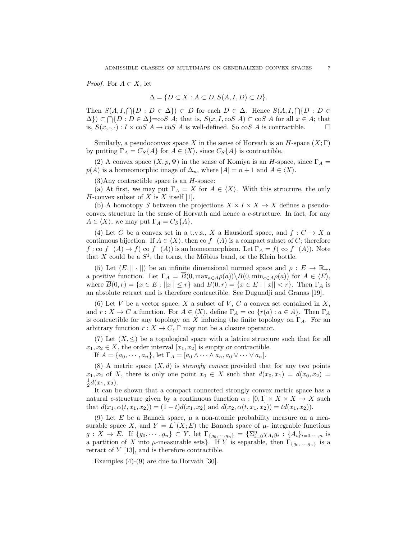*Proof.* For  $A \subset X$ , let

$$
\Delta = \{ D \subset X : A \subset D, S(A, I, D) \subset D \}.
$$

Then  $S(A, I, \bigcap \{D : D \in \Delta\}) \subset D$  for each  $D \in \Delta$ . Hence  $S(A, I, \bigcap \{D : D \in \Delta\})$  $\{\Delta\}\subset \bigcap \{D : D \in \Delta\} = \text{co}S \ A;$  that is,  $S(x, I, \text{co}S \ A) \subset \text{co}S \ A$  for all  $x \in A;$  that is,  $S(x, \cdot, \cdot) : I \times \cos A \to \cos A$  is well-defined. So  $\cos A$  is contractible.  $\Box$ 

Similarly, a pseudoconvex space X in the sense of Horvath is an  $H$ -space  $(X; \Gamma)$ by putting  $\Gamma_A = C_S{A}$  for  $A \in \langle X \rangle$ , since  $C_S{A}$  is contractible.

(2) A convex space  $(X, p, \Psi)$  in the sense of Komiya is an H-space, since  $\Gamma_A$  =  $p(A)$  is a homeomorphic image of  $\Delta_n$ , where  $|A| = n + 1$  and  $A \in \langle X \rangle$ .

 $(3)$ Any contractible space is an *H*-space:

(a) At first, we may put  $\Gamma_A = X$  for  $A \in \langle X \rangle$ . With this structure, the only  $H$ -convex subset of  $X$  is  $X$  itself [1].

(b) A homotopy S between the projections  $X \times I \times X \to X$  defines a pseudoconvex structure in the sense of Horvath and hence a c-structure. In fact, for any  $A \in \langle X \rangle$ , we may put  $\Gamma_A = C_S \{A\}.$ 

(4) Let C be a convex set in a t.v.s., X a Hausdorff space, and  $f: C \to X$  a continuous bijection. If  $A \in \langle X \rangle$ , then co  $f^{-}(A)$  is a compact subset of C; therefore  $f:$  co  $f^{-}(A) \to f(-A)$  is an homeomorphism. Let  $\Gamma_A = f(-A)$ . Note that X could be a  $S^1$ , the torus, the Mőbius band, or the Klein bottle.

(5) Let  $(E, || \cdot ||)$  be an infinite dimensional normed space and  $\rho : E \to \mathbb{R}_+$ , a positive function. Let  $\Gamma_A = \overline{B}(0, \max_{a \in A} \rho(a)) \setminus B(0, \min_{a \in A} \rho(a))$  for  $A \in \langle E \rangle$ , where  $\overline{B}(0,r) = \{x \in E : ||x|| \leq r\}$  and  $B(0,r) = \{x \in E : ||x|| < r\}$ . Then  $\Gamma_A$  is an absolute retract and is therefore contractible. See Dugundji and Granas [19].

(6) Let V be a vector space, X a subset of V, C a convex set contained in  $X$ , and  $r : X \to C$  a function. For  $A \in \langle X \rangle$ , define  $\Gamma_A = \text{co } \{r(a) : a \in A\}$ . Then  $\Gamma_A$ is contractible for any topology on X inducing the finite topology on  $\Gamma_A$ . For an arbitrary function  $r : X \to C$ ,  $\Gamma$  may not be a closure operator.

(7) Let  $(X, \leq)$  be a topological space with a lattice structure such that for all  $x_1, x_2 \in X$ , the order interval  $[x_1, x_2]$  is empty or contractible.

If  $A = \{a_0, \dots, a_n\}$ , let  $\Gamma_A = [a_0 \wedge \dots \wedge a_n, a_0 \vee \dots \vee a_n]$ .

(8) A metric space  $(X, d)$  is *strongly convex* provided that for any two points  $x_1, x_2$  of X, there is only one point  $x_0 \in X$  such that  $d(x_0, x_1) = d(x_0, x_2) =$  $\frac{1}{2}d(x_1, x_2)$ .

It can be shown that a compact connected strongly convex metric space has a natural c-structure given by a continuous function  $\alpha : [0,1] \times X \times X \rightarrow X$  such that  $d(x_1, \alpha(t, x_1, x_2)) = (1 - t)d(x_1, x_2)$  and  $d(x_2, \alpha(t, x_1, x_2)) = td(x_1, x_2)$ .

(9) Let E be a Banach space,  $\mu$  a non-atomic probability measure on a measurable space X, and  $Y = L^1(X; E)$  the Banach space of  $\mu$ - integrable functions  $g: X \to E$ . If  $\{g_0, \dots, g_n\} \subset Y$ , let  $\Gamma_{\{g_0, \dots, g_n\}} = \{\sum_{i=0}^n \chi_{A_i} g_i : \{A_i\}_{i=0, \dots, n}$  is a partition of X into  $\mu$ -measurable sets}. If Y is separable, then  $\Gamma_{\{g_0,\dots,g_n\}}$  is a retract of  $Y$  [13], and is therefore contractible.

Examples  $(4)-(9)$  are due to Horvath [30].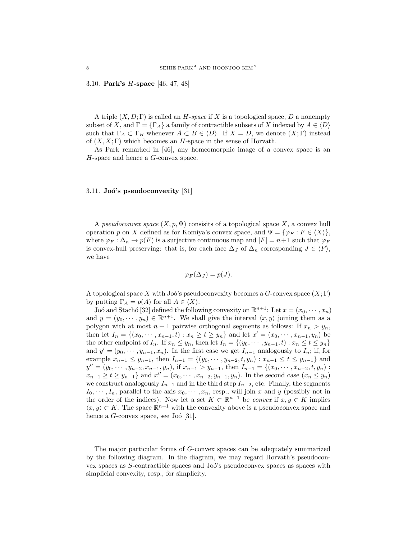#### 3.10. Park's H-space [46, 47, 48]

A triple  $(X, D; \Gamma)$  is called an H-space if X is a topological space, D a nonempty subset of X, and  $\Gamma = {\Gamma_A}$  a family of contractible subsets of X indexed by  $A \in \langle D \rangle$ such that  $\Gamma_A \subset \Gamma_B$  whenever  $A \subset B \in \langle D \rangle$ . If  $X = D$ , we denote  $(X; \Gamma)$  instead of  $(X, X; \Gamma)$  which becomes an H-space in the sense of Horvath.

As Park remarked in [46], any homeomorphic image of a convex space is an H-space and hence a G-convex space.

## 3.11. Joó's pseudoconvexity  $[31]$

A pseudoconvex space  $(X, p, \Psi)$  consisits of a topological space X, a convex hull operation p on X defined as for Komiya's convex space, and  $\Psi = {\varphi_F : F \in \langle X \rangle},$ where  $\varphi_F : \Delta_n \to p(F)$  is a surjective continuous map and  $|F| = n+1$  such that  $\varphi_F$ is convex-hull preserving: that is, for each face  $\Delta_J$  of  $\Delta_n$  corresponding  $J \in \langle F \rangle$ , we have

$$
\varphi_F(\Delta_J)=p(J).
$$

A topological space X with Joó's pseudoconvexity becomes a  $G$ -convex space  $(X; \Gamma)$ by putting  $\Gamma_A = p(A)$  for all  $A \in \langle X \rangle$ .

Joó and Stachó [32] defined the following convexity on  $\mathbb{R}^{n+1}$ : Let  $x = (x_0, \dots, x_n)$ and  $y = (y_0, \dots, y_n) \in \mathbb{R}^{n+1}$ . We shall give the interval  $\langle x, y \rangle$  joining them as a polygon with at most  $n + 1$  pairwise orthogonal segments as follows: If  $x_n > y_n$ , then let  $I_n = \{(x_0, \dots, x_{n-1}, t) : x_n \ge t \ge y_n\}$  and let  $x' = (x_0, \dots, x_{n-1}, y_n)$  be the other endpoint of  $I_n$ . If  $x_n \leq y_n$ , then let  $I_n = \{(y_0, \dots, y_{n-1}, t) : x_n \leq t \leq y_n\}$ and  $y' = (y_0, \dots, y_{n-1}, x_n)$ . In the first case we get  $I_{n-1}$  analogously to  $I_n$ ; if, for example  $x_{n-1} \leq y_{n-1}$ , then  $I_{n-1} = \{(y_0, \dots, y_{n-2}, t, y_n) : x_{n-1} \leq t \leq y_{n-1}\}\$ and  $y'' = (y_0, \dots, y_{n-2}, x_{n-1}, y_n)$ , if  $x_{n-1} > y_{n-1}$ , then  $I_{n-1} = \{(x_0, \dots, x_{n-2}, t, y_n)$ :  $x_{n-1} \ge t \ge y_{n-1}$ } and  $x'' = (x_0, \dots, x_{n-2}, y_{n-1}, y_n)$ . In the second case  $(x_n \le y_n)$ we construct analogously  $I_{n-1}$  and in the third step  $I_{n-2}$ , etc. Finally, the segments  $I_0, \dots, I_n$ , parallel to the axis  $x_0, \dots, x_n$ , resp., will join x and y (possibly not in the order of the indices). Now let a set  $K \subset \mathbb{R}^{n+1}$  be *convex* if  $x, y \in K$  implies  $\langle x, y \rangle \subset K$ . The space  $\mathbb{R}^{n+1}$  with the convexity above is a pseudoconvex space and hence a  $G$ -convex space, see Joó [31].

The major particular forms of G-convex spaces can be adequately summarized by the following diagram. In the diagram, we may regard Horvath's pseudoconvex spaces as S-contractible spaces and Joó's pseudoconvex spaces as spaces with simplicial convexity, resp., for simplicity.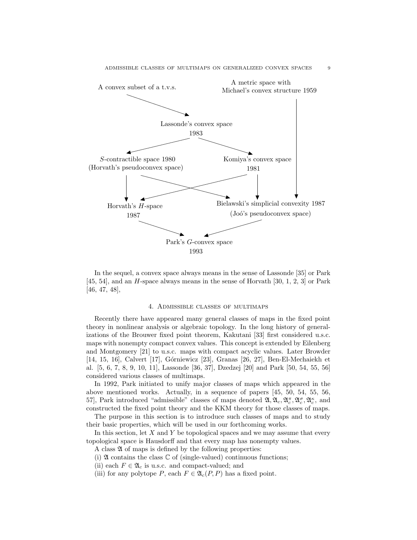

In the sequel, a convex space always means in the sense of Lassonde [35] or Park [45, 54], and an H-space always means in the sense of Horvath [30, 1, 2, 3] or Park [46, 47, 48],

## 4. Admissible classes of multimaps

Recently there have appeared many general classes of maps in the fixed point theory in nonlinear analysis or algebraic topology. In the long history of generalizations of the Brouwer fixed point theorem, Kakutani [33] first considered u.s.c. maps with nonempty compact convex values. This concept is extended by Eilenberg and Montgomery [21] to u.s.c. maps with compact acyclic values. Later Browder [14, 15, 16], Calvert [17], Górniewicz [23], Granas [26, 27], Ben-El-Mechaiekh et al. [5, 6, 7, 8, 9, 10, 11], Lassonde [36, 37], Dzedzej [20] and Park [50, 54, 55, 56] considered various classes of multimaps.

In 1992, Park initiated to unify major classes of maps which appeared in the above mentioned works. Actually, in a sequence of papers [45, 50, 54, 55, 56, 57, Park introduced "admissible" classes of maps denoted  $\mathfrak{A}, \mathfrak{A}_c, \mathfrak{A}_c^{\pi}, \mathfrak{A}_c^{\sigma}, \mathfrak{A}_c^{\kappa}$ , and constructed the fixed point theory and the KKM theory for those classes of maps.

The purpose in this section is to introduce such classes of maps and to study their basic properties, which will be used in our forthcoming works.

In this section, let  $X$  and  $Y$  be topological spaces and we may assume that every topological space is Hausdorff and that every map has nonempty values.

A class  $\mathfrak A$  of maps is defined by the following properties:

(i)  $\mathfrak A$  contains the class  $\mathbb C$  of (single-valued) continuous functions;

(ii) each  $F \in \mathfrak{A}_c$  is u.s.c. and compact-valued; and

(iii) for any polytope P, each  $F \in \mathfrak{A}_c(P, P)$  has a fixed point.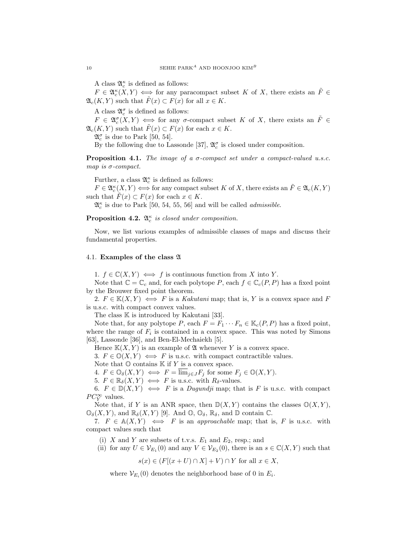A class  $\mathfrak{A}^\kappa_c$  is defined as follows:

 $F \in \mathfrak{A}_{c}^{\kappa}(X,Y) \iff \text{for any paracompact subset } K \text{ of } X, \text{ there exists an } \tilde{F} \in$  $\mathfrak{A}_c(K,Y)$  such that  $\tilde{F}(x) \subset F(x)$  for all  $x \in K$ .

A class  $\mathfrak{A}_c^{\sigma}$  is defined as follows:

 $F \in \mathfrak{A}_c^{\sigma}(X,Y) \iff \text{for any } \sigma\text{-compact subset } K \text{ of } X, \text{ there exists an } \tilde{F} \in$  $\mathfrak{A}_{c}(K, Y)$  such that  $\tilde{F}(x) \subset F(x)$  for each  $x \in K$ .

 $\mathfrak{A}_{c}^{\sigma}$  is due to Park [50, 54].

By the following due to Lassonde [37],  $\mathfrak{A}_{c}^{\sigma}$  is closed under composition.

**Proposition 4.1.** The image of a  $\sigma$ -compact set under a compact-valued u.s.c. map is  $\sigma$ -compact.

Further, a class  $\mathfrak{A}^{\kappa}_c$  is defined as follows:

 $F \in \mathfrak{A}_{c}^{\kappa}(X,Y) \Longleftrightarrow$  for any compact subset K of X, there exists an  $\tilde{F} \in \mathfrak{A}_{c}(K,Y)$ such that  $\tilde{F}(x) \subset F(x)$  for each  $x \in K$ .

 $\mathfrak{A}^{\kappa}_{c}$  is due to Park [50, 54, 55, 56] and will be called *admissible*.

**Proposition 4.2.**  $\mathfrak{A}_{c}^{\kappa}$  is closed under composition.

Now, we list various examples of admissible classes of maps and discuss their fundamental properties.

## 4.1. Examples of the class A

1.  $f \in \mathbb{C}(X, Y) \iff f$  is continuous function from X into Y.

Note that  $\mathbb{C} = \mathbb{C}_c$  and, for each polytope P, each  $f \in \mathbb{C}_c(P, P)$  has a fixed point by the Brouwer fixed point theorem.

2.  $F \in K(X, Y) \iff F$  is a Kakutani map; that is, Y is a convex space and F is u.s.c. with compact convex values.

The class  $\mathbb K$  is introduced by Kakutani [33].

Note that, for any polytope P, each  $F = F_1 \cdots F_n \in \mathbb{K}_c(P, P)$  has a fixed point, where the range of  $F_i$  is contained in a convex space. This was noted by Simons [63], Lassonde [36], and Ben-El-Mechaiekh [5].

Hence  $K(X, Y)$  is an example of  $\mathfrak A$  whenever Y is a convex space.

3.  $F \in \mathbb{O}(X, Y) \iff F$  is u.s.c. with compact contractible values.

Note that  $\mathbb O$  contains  $\mathbb K$  if Y is a convex space.

4.  $F \in \mathbb{O}_{\delta}(X, Y) \iff F = \overline{\lim}_{i \in J} F_i$  for some  $F_i \in \mathbb{O}(X, Y)$ .

5.  $F \in \mathbb{R}_{\delta}(X, Y) \iff F$  is u.s.c. with  $R_{\delta}$ -values.

6.  $F \in \mathbb{D}(X, Y) \iff F$  is a *Dugundji* map; that is F is u.s.c. with compact  $PC^{\infty}_Y$  values.

Note that, if Y is an ANR space, then  $\mathbb{D}(X, Y)$  contains the classes  $\mathbb{O}(X, Y)$ ,  $\mathbb{O}_{\delta}(X, Y)$ , and  $\mathbb{R}_{\delta}(X, Y)$  [9]. And  $\mathbb{O}, \mathbb{O}_{\delta}$ ,  $\mathbb{R}_{\delta}$ , and  $\mathbb{D}$  contain  $\mathbb{C}$ .

7.  $F \in A(X, Y) \iff F$  is an approachable map; that is, F is u.s.c. with compact values such that

(i) X and Y are subsets of t.v.s.  $E_1$  and  $E_2$ , resp.; and

(ii) for any  $U \in \mathcal{V}_{E_1}(0)$  and any  $V \in \mathcal{V}_{E_2}(0)$ , there is an  $s \in \mathbb{C}(X, Y)$  such that

 $s(x) \in (F[(x+U) \cap X] + V) \cap Y$  for all  $x \in X$ ,

where  $\mathcal{V}_{E_i}(0)$  denotes the neighborhood base of 0 in  $E_i$ .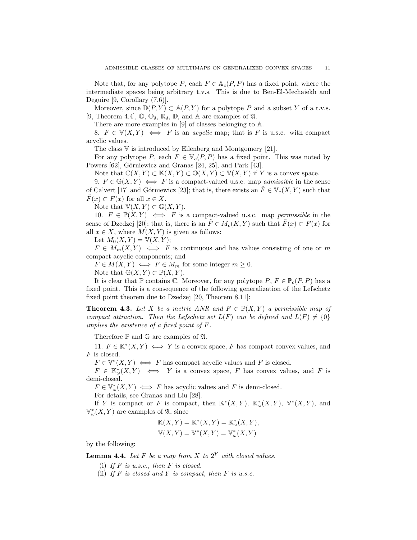Note that, for any polytope P, each  $F \in \mathbb{A}_c(P, P)$  has a fixed point, where the intermediate spaces being arbitrary t.v.s. This is due to Ben-El-Mechaiekh and Deguire [9, Corollary (7.6)].

Moreover, since  $\mathbb{D}(P, Y) \subset \mathbb{A}(P, Y)$  for a polytope P and a subset Y of a t.v.s. [9, Theorem 4.4],  $\mathbb{O}, \mathbb{O}_{\delta}, \mathbb{R}_{\delta}, \mathbb{D},$  and A are examples of  $\mathfrak{A}.$ 

There are more examples in [9] of classes belonging to A.

8.  $F \in \mathbb{V}(X, Y) \iff F$  is an *acyclic* map; that is F is u.s.c. with compact acyclic values.

The class V is introduced by Eilenberg and Montgomery [21].

For any polytope P, each  $F \in \mathbb{V}_c(P, P)$  has a fixed point. This was noted by Powers [62], Górniewicz and Granas [24, 25], and Park [43].

Note that  $\mathbb{C}(X, Y) \subset \mathbb{K}(X, Y) \subset \mathbb{O}(X, Y) \subset \mathbb{V}(X, Y)$  if Y is a convex space.

9.  $F \in \mathbb{G}(X, Y) \iff F$  is a compact-valued u.s.c. map *admissible* in the sense of Calvert [17] and Górniewicz [23]; that is, there exists an  $\tilde{F} \in V_c(X, Y)$  such that  $\tilde{F}(x) \subset F(x)$  for all  $x \in X$ .

Note that  $\mathbb{V}(X, Y) \subset \mathbb{G}(X, Y)$ .

10.  $F \in \mathbb{P}(X, Y) \iff F$  is a compact-valued u.s.c. map *permissible* in the sense of Dzedzej [20]; that is, there is an  $F \in M_c(K, Y)$  such that  $F(x) \subset F(x)$  for all  $x \in X$ , where  $M(X, Y)$  is given as follows:

Let  $M_0(X, Y) = \mathbb{V}(X, Y);$ 

 $F \in M_m(X,Y) \iff F$  is continuous and has values consisting of one or m compact acyclic components; and

 $F \in M(X, Y) \iff F \in M_m$  for some integer  $m \geq 0$ .

Note that  $\mathbb{G}(X,Y) \subset \mathbb{P}(X,Y)$ .

It is clear that P contains C. Moreover, for any polytope  $P, F \in \mathbb{P}_c(P, P)$  has a fixed point. This is a consequence of the following generalization of the Lefschetz fixed point theorem due to Dzedzej [20, Theorem 8.11]:

**Theorem 4.3.** Let X be a metric ANR and  $F \in \mathbb{P}(X, Y)$  a permissible map of compact attraction. Then the Lefschetz set  $L(F)$  can be defined and  $L(F) \neq \{0\}$ implies the existence of a fixed point of F.

Therefore  $\mathbb P$  and  $\mathbb G$  are examples of  $\mathfrak A$ .

11.  $F \in \mathbb{K}^*(X, Y) \iff Y$  is a convex space, F has compact convex values, and F is closed.

 $F \in V^*(X, Y) \iff F$  has compact acyclic values and F is closed.

 $F \in \mathbb{K}_{\omega}^{*}(X, Y) \iff Y$  is a convex space, F has convex values, and F is demi-closed.

 $F \in \mathbb{V}_{\omega}^*(X, Y) \iff F$  has acyclic values and F is demi-closed.

For details, see Granas and Liu [28].

If Y is compact or F is compact, then  $\mathbb{K}^*(X,Y)$ ,  $\mathbb{K}_{\omega}^*(X,Y)$ ,  $\mathbb{V}^*(X,Y)$ , and  $\mathbb{V}_{\omega}^{*}(X, Y)$  are examples of  $\mathfrak{A}$ , since

$$
\mathbb{K}(X,Y) = \mathbb{K}^*(X,Y) = \mathbb{K}^*_{\omega}(X,Y),
$$
  

$$
\mathbb{V}(X,Y) = \mathbb{V}^*(X,Y) = \mathbb{V}^*_{\omega}(X,Y)
$$

by the following:

**Lemma 4.4.** Let F be a map from X to  $2^Y$  with closed values.

- (i) If  $F$  is u.s.c., then  $F$  is closed.
- (ii) If  $F$  is closed and  $Y$  is compact, then  $F$  is u.s.c.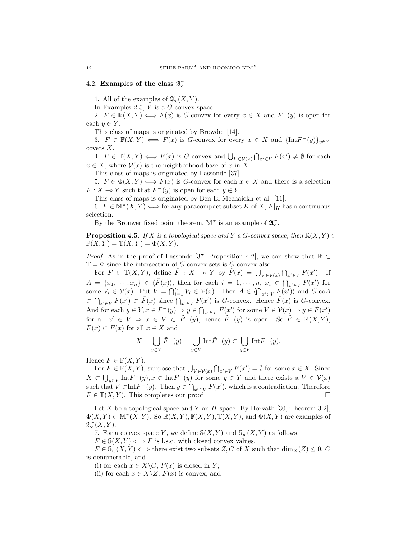# 4.2. Examples of the class  $\mathfrak{A}^{\pi}_{c}$

1. All of the examples of  $\mathfrak{A}_{c}(X, Y)$ .

In Examples 2-5, Y is a G-convex space.

2.  $F \in \mathbb{R}(X,Y) \Longleftrightarrow F(x)$  is G-convex for every  $x \in X$  and  $F^-(y)$  is open for each  $y \in Y$ .

This class of maps is originated by Browder [14].

3.  $F \in \mathbb{F}(X, Y) \iff F(x)$  is G-convex for every  $x \in X$  and  $\{\text{Int}F^-(y)\}_{y \in Y}$ covers X.

4.  $F \in \mathbb{T}(X, Y) \iff F(x)$  is G-convex and  $\bigcup_{V \in \mathcal{V}(x)} \bigcap_{x' \in V} F(x') \neq \emptyset$  for each  $x \in X$ , where  $V(x)$  is the neighborhood base of x in X.

This class of maps is originated by Lassonde [37].

5.  $F \in \Phi(X, Y) \Longleftrightarrow F(x)$  is G-convex for each  $x \in X$  and there is a selection  $\tilde{F}: X \to Y$  such that  $\tilde{F}^-(y)$  is open for each  $y \in Y$ .

This class of maps is originated by Ben-El-Mechaiekh et al. [11].

6.  $F \in M^{\pi}(X, Y) \Longleftrightarrow$  for any paracompact subset K of X,  $F|_K$  has a continuous selection.

By the Brouwer fixed point theorem,  $\mathbb{M}^{\pi}$  is an example of  $\mathfrak{A}_{c}^{\pi}.$ 

**Proposition 4.5.** If X is a topological space and Y a G-convex space, then  $\mathbb{R}(X, Y) \subset$  $\mathbb{F}(X, Y) = \mathbb{T}(X, Y) = \Phi(X, Y).$ 

*Proof.* As in the proof of Lassonde [37, Proposition 4.2], we can show that  $\mathbb{R} \subset$  $\mathbb{T} = \Phi$  since the intersection of G-convex sets is G-convex also.

For  $F \in \mathbb{T}(X, Y)$ , define  $\tilde{F}: X \multimap Y$  by  $\tilde{F}(x) = \bigcup_{V \in \mathcal{V}(x)} \bigcap_{x' \in V} F(x')$ . If  $A = \{x_1, \dots, x_n\} \in \langle \tilde{F}(x) \rangle$ , then for each  $i = 1, \dots, n$ ,  $x_i \in \bigcap_{x' \in V} F(x')$  for some  $V_i \in \mathcal{V}(x)$ . Put  $V = \bigcap_{i=1}^n V_i \in \mathcal{V}(x)$ . Then  $A \in \langle \bigcap_{x' \in V} F(x') \rangle$  and  $G\text{-co}A$  $\subset \bigcap_{x' \in V} F(x') \subset \tilde{F}(x)$  since  $\bigcap_{x' \in V} F(x')$  is G-convex. Hence  $\tilde{F}(x)$  is G-convex. And for each  $y \in Y, x \in \tilde{F}^-(y) \Rightarrow y \in \bigcap_{x' \in V} \tilde{F}(x')$  for some  $V \in \mathcal{V}(x) \Rightarrow y \in \tilde{F}(x')$ for all  $x' \in V \implies x \in V \subset \tilde{F}^-(y)$ , hence  $\tilde{F}^-(y)$  is open. So  $\tilde{F} \in \mathbb{R}(X,Y)$ ,  $F(x) \subset F(x)$  for all  $x \in X$  and

$$
X = \bigcup_{y \in Y} \tilde{F}^-(y) = \bigcup_{y \in Y} \text{Int}\tilde{F}^-(y) \subset \bigcup_{y \in Y} \text{Int}F^-(y).
$$

Hence  $F \in \mathbb{F}(X, Y)$ .

For  $F \in \mathbb{F}(X, Y)$ , suppose that  $\bigcup_{V \in \mathcal{V}(x)} \bigcap_{x' \in V} F(x') = \emptyset$  for some  $x \in X$ . Since  $X \subset \bigcup_{y \in Y} \text{Int}F^-(y), x \in \text{Int}F^-(y)$  for some  $y \in Y$  and there exists a  $V \in \mathcal{V}(x)$ such that  $V \subset \text{Int} F^-(y)$ . Then  $y \in \bigcap_{x' \in V} F(x')$ , which is a contradiction. Therefore  $F \in \mathbb{T}(X, Y)$ . This completes our proof

Let X be a topological space and Y an  $H$ -space. By Horvath [30, Theorem 3.2],  $\Phi(X,Y) \subset \mathbb{M}^{\pi}(X,Y)$ . So  $\mathbb{R}(X,Y), \mathbb{F}(X,Y), \mathbb{T}(X,Y)$ , and  $\Phi(X,Y)$  are examples of  $\mathfrak{A}^{\pi}_c(X, Y)$ .

7. For a convex space Y, we define  $S(X, Y)$  and  $S_w(X, Y)$  as follows:

 $F \in \mathbb{S}(X, Y) \Longleftrightarrow F$  is l.s.c. with closed convex values.

 $F \in \mathbb{S}_w(X, Y) \Longleftrightarrow$  there exist two subsets  $Z, C$  of X such that  $\dim_X(Z) \leq 0, C$ is denumerable, and

(i) for each  $x \in X \backslash C$ ,  $F(x)$  is closed in Y;

(ii) for each  $x \in X \backslash Z$ ,  $F(x)$  is convex; and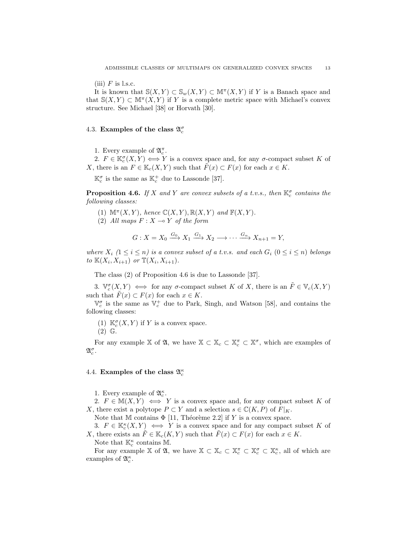(iii)  $F$  is l.s.c.

It is known that  $\mathbb{S}(X,Y) \subset \mathbb{S}_w(X,Y) \subset \mathbb{M}^{\pi}(X,Y)$  if Y is a Banach space and that  $S(X, Y) \subset \mathbb{M}^{\pi}(X, Y)$  if Y is a complete metric space with Michael's convex structure. See Michael [38] or Horvath [30].

# 4.3. Examples of the class  $\mathfrak{A}_{c}^{\sigma}$

1. Every example of  $\mathfrak{A}_{c}^{\pi}$ .

2.  $F \in \mathbb{K}_c^{\sigma}(X,Y) \Longleftrightarrow Y$  is a convex space and, for any  $\sigma$ -compact subset K of X, there is an  $F \in \mathbb{K}_c(X, Y)$  such that  $F(x) \subset F(x)$  for each  $x \in K$ .

 $\mathbb{K}_c^{\sigma}$  is the same as  $\mathbb{K}_c^+$  due to Lassonde [37].

**Proposition 4.6.** If X and Y are convex subsets of a t.v.s., then  $\mathbb{K}_c^{\sigma}$  contains the following classes:

- (1)  $\mathbb{M}^{\pi}(X, Y)$ , hence  $\mathbb{C}(X, Y)$ ,  $\mathbb{R}(X, Y)$  and  $\mathbb{F}(X, Y)$ .
- (2) All maps  $F: X \rightarrow Y$  of the form

$$
G: X = X_0 \xrightarrow{G_0} X_1 \xrightarrow{G_1} X_2 \longrightarrow \cdots \xrightarrow{G_n} X_{n+1} = Y,
$$

where  $X_i$   $(1 \leq i \leq n)$  is a convex subset of a t.v.s. and each  $G_i$   $(0 \leq i \leq n)$  belongs to  $\mathbb{K}(X_i, X_{i+1})$  or  $\mathbb{T}(X_i, X_{i+1})$ .

The class (2) of Proposition 4.6 is due to Lassonde [37].

3.  $\mathbb{V}_c^{\sigma}(X,Y) \iff$  for any  $\sigma$ -compact subset K of X, there is an  $\tilde{F} \in \mathbb{V}_c(X,Y)$ such that  $\tilde{F}(x) \subset F(x)$  for each  $x \in K$ .

 $\mathbb{V}_c^{\sigma}$  is the same as  $\mathbb{V}_c^+$  due to Park, Singh, and Watson [58], and contains the following classes:

(1)  $\mathbb{K}_c^{\sigma}(X, Y)$  if Y is a convex space. (2) G.

For any example X of  $\mathfrak{A}$ , we have  $\mathbb{X} \subset \mathbb{X}_c \subset \mathbb{X}_c^{\pi} \subset \mathbb{X}^{\sigma}$ , which are examples of  $\mathfrak{A}_c^{\sigma}$  .

# 4.4. Examples of the class  $\mathfrak{A}_{c}^{\kappa}$

- 1. Every example of  $\mathfrak{A}^\kappa_c.$
- 2.  $F \in M(X, Y) \iff Y$  is a convex space and, for any compact subset K of X, there exist a polytope  $P \subset Y$  and a selection  $s \in \mathbb{C}(K, P)$  of  $F|_K$ .

Note that M contains  $\Phi$  [11, Théorème 2.2] if Y is a convex space.

3.  $F \in \mathbb{K}_c^{\kappa}(X,Y) \iff Y$  is a convex space and for any compact subset K of X, there exists an  $\tilde{F} \in \mathbb{K}_c(K, Y)$  such that  $\tilde{F}(x) \subset F(x)$  for each  $x \in K$ .

Note that  $\mathbb{K}_c^{\kappa}$  contains  $\mathbb{M}$ .

For any example X of  $\mathfrak{A}$ , we have  $\mathbb{X} \subset \mathbb{X}_c \subset \mathbb{X}_c^{\pi} \subset \mathbb{X}_c^{\sigma} \subset \mathbb{X}_c^{\kappa}$ , all of which are examples of  $\mathfrak{A}_{c}^{\kappa}$ .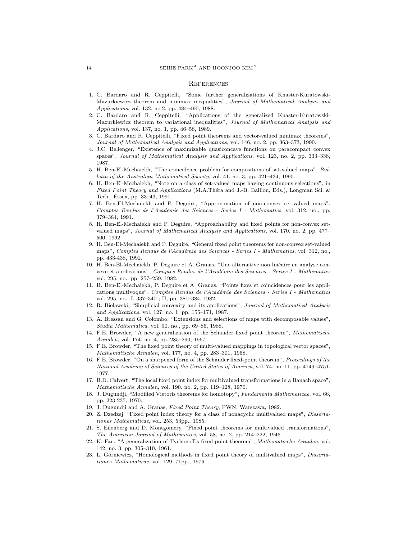#### **REFERENCES**

- 1. C. Bardaro and R. Ceppitelli, "Some further generalizations of Knaster-Kuratowski-Mazurkiewicz theorem and minimax inequalities", Journal of Mathematical Analysis and Applications, vol. 132, no.2, pp. 484–490, 1988.
- 2. C. Bardaro and R. Ceppitelli, "Applications of the generalized Knaster-Kuratowski-Mazurkiewicz theorem to variational inequalities", Journal of Mathematical Analysis and Applications, vol. 137, no. 1, pp. 46–58, 1989.
- 3. C. Bardaro and R. Ceppitelli, "Fixed point theorems and vector-valued minimax theorems", Journal of Mathematical Analysis and Applications, vol. 146, no. 2, pp. 363–373, 1990.
- 4. J.C. Bellenger, "Existence of maximizable quasiconcave functions on paracompact convex spaces", Journal of Mathematical Analysis and Applications, vol. 123, no. 2, pp. 333–338, 1987.
- 5. H. Ben-El-Mechaiekh, "The coincidence problem for compositions of set-valued maps", Bulletin of the Australian Mathematical Society, vol. 41, no. 3, pp. 421–434, 1990.
- 6. H. Ben-El-Mechaiekh, "Note on a class of set-valued maps having continuous selections", in Fixed Point Theory and Applications (M.A.Théra and J.-B. Baillon, Eds.), Longman Sci. & Tech., Essex, pp. 33–43, 1991.
- 7. H. Ben-El-Mechaiekh and P. Deguire, "Approximation of non-convex set-valued maps", Comptes Rendus de l'Académie des Sciences - Series I - Mathematics, vol. 312. no., pp. 379–384, 1991.
- 8. H. Ben-El-Mechaiekh and P. Deguire, "Approachability and fixed points for non-convex setvalued maps", Journal of Mathematical Analysis and Applications, vol. 170. no. 2, pp. 477– 500, 1992.
- 9. H. Ben-El-Mechaiekh and P. Deguire, "General fixed point theorems for non-convex set-valued maps", Comptes Rendus de l'Académie des Sciences - Series I - Mathematics, vol. 312, no., pp. 433-438, 1992.
- 10. H. Ben-El-Mechaiekh, P. Deguire et A. Granas, "Une alternative non lin´eaire en analyse convexe et applications", Comptes Rendus de l'Académie des Sciences - Series I - Mathematics vol. 295, no., pp. 257–259, 1982.
- 11. H. Ben-El-Mechaiekh, P. Deguire et A. Granas, "Points fixes et coincidences pour les applications multivoque", Comptes Rendus de l'Académie des Sciences - Series I - Mathematics vol. 295, no., I, 337–340 ; II, pp. 381–384, 1982.
- 12. R. Bielawski, "Simplicial convexity and its applications", Journal of Mathematical Analysis and Applications, vol. 127, no. 1, pp. 155–171, 1987.
- 13. A. Bressan and G. Colombo, "Extensions and selections of maps with decomposable values", Studia Mathematica, vol. 90. no., pp. 69–86, 1988.
- 14. F.E. Browder, "A new generalization of the Schauder fixed point theorem", Mathematische Annalen, vol. 174. no. 4, pp. 285–290, 1967.
- 15. F.E. Browder, "The fixed point theory of multi-valued mappings in topological vector spaces", Mathematische Annalen, vol. 177, no. 4, pp. 283–301, 1968.
- 16. F.E. Browder, "On a sharpened form of the Schauder fixed-point theorem", Proceedings of the National Academy of Sciences of the United States of America, vol. 74, no. 11, pp. 4749–4751, 1977.
- 17. B.D. Calvert, "The local fixed point index for multivalued transformations in a Banach space", Mathematische Annalen, vol. 190. no. 2, pp. 119–128, 1970.
- 18. J. Dugundji, "Modified Vietoris theorems for homotopy", Fundamenta Mathematicae, vol. 66, pp. 223-235, 1970.
- 19. J. Dugundji and A. Granas, Fixed Point Theory, PWN, Warszawa, 1982.
- 20. Z. Dzedzej, "Fixed point index theory for a class of nonacyclic multivalued maps", Dissertationes Mathematicae, vol. 253, 53pp., 1985.
- 21. S. Eilenberg and D. Montgomery, "Fixed point theorems for multivalued transformations", The American Journal of Mathematics, vol. 58, no. 2, pp. 214–222, 1946.
- 22. K. Fan, "A generalization of Tychonoff's fixed point theorem", Mathematische Annalen, vol. 142, no. 3, pp. 305–310, 1961.
- 23. L. Górniewicz, "Homological methods in fixed point theory of multivalued maps", *Disserta*tiones Mathematicae, vol. 129, 71pp., 1976.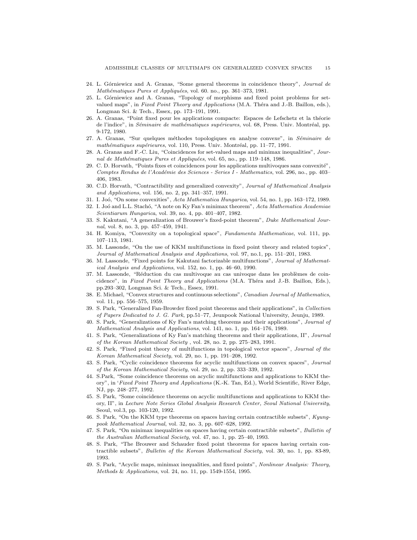- 24. L. Górniewicz and A. Granas, "Some general theorems in coincidence theory", Journal de Mathématiques Pures et Appliquées, vol. 60. no., pp. 361-373, 1981.
- 25. L. Górniewicz and A. Granas, "Topology of morphisms and fixed point problems for setvalued maps", in Fixed Point Theory and Applications (M.A. Thera and J.-B. Baillon, eds.), Longman Sci. & Tech., Essex, pp. 173–191, 1991.
- 26. A. Granas, "Point fixed pour les applications compacte: Espaces de Lefschetz et la théorie de l'indice", in Séminaire de mathématiques supérieures, vol. 68, Press. Univ. Montréal, pp. 9-172, 1980.
- 27. A. Granas, "Sur quelques méthodes topologiques en analyse convexe", in Séminaire de mathématiques supérieures, vol. 110, Press. Univ. Montréal, pp. 11–77, 1991.
- 28. A. Granas and F.-C. Liu, "Coincidences for set-valued maps and minimax inequalities", Journal de Mathématiques Pures et Appliquées, vol. 65, no., pp. 119–148, 1986.
- 29. C. D. Horvath, "Points fixes et coincidences pour les applications multivoques sans convexité", Comptes Rendus de l'Académie des Sciences - Series I - Mathematics, vol. 296, no., pp. 403– 406, 1983.
- 30. C.D. Horvath, "Contractibility and generalized convexity", Journal of Mathematical Analysis and Applications, vol. 156, no. 2, pp. 341–357, 1991.
- 31. I. Jo´o, "On some convexities", Acta Mathematica Hungarica, vol. 54, no. 1, pp. 163–172, 1989.
- 32. I. Joó and L.L. Stachó, "A note on Ky Fan's minimax theorem", Acta Mathematica Academiae Scientiarum Hungarica, vol. 39, no. 4, pp. 401–407, 1982.
- 33. S. Kakutani, "A generalization of Brouwer's fixed-point theorem", Duke Mathematical Journal, vol. 8, no. 3, pp. 457–459, 1941.
- 34. H. Komiya, "Convexity on a topological space", Fundamenta Mathematicae, vol. 111, pp. 107–113, 1981.
- 35. M. Lassonde, "On the use of KKM multifunctions in fixed point theory and related topics", Journal of Mathematical Analysis and Applications, vol. 97, no.1, pp. 151–201, 1983.
- 36. M. Lassonde, "Fixed points for Kakutani factorizable multifunctions", Journal of Mathematical Analysis and Applications, vol. 152, no. 1, pp. 46–60, 1990.
- 37. M. Lassonde, "Réduction du cas multivoque au cas univoque dans les problèmes de coincidence", in Fixed Point Theory and Applications (M.A. Théra and J.-B. Baillon, Eds.), pp.293–302, Longman Sci. & Tech., Essex, 1991.
- 38. E. Michael, "Convex structures and continuous selections", Canadian Journal of Mathematics, vol. 11, pp. 556–575, 1959.
- 39. S. Park, "Generalized Fan-Browder fixed point theorems and their applications", in Collection of Papers Dedicated to J. G. Park, pp.51–77, Jeunpook National University, Jeunju, 1989.
- 40. S. Park, "Generalizations of Ky Fan's matching theorems and their applications", Journal of Mathematical Analysis and Applications, vol. 141, no. 1, pp. 164–176, 1989.
- 41. S. Park, "Generalizations of Ky Fan's matching theorems and their applications, II", Journal of the Korean Mathematical Society , vol. 28, no. 2, pp. 275–283, 1991.
- 42. S. Park, "Fixed point theory of multifunctions in topological vector spaces", Journal of the Korean Mathematical Society, vol. 29, no. 1, pp. 191–208, 1992.
- 43. S. Park, "Cyclic coincidence theorems for acyclic multifunctions on convex spaces", Journal of the Korean Mathematical Society, vol. 29, no. 2, pp. 333–339, 1992.
- 44. S.Park, "Some coincidence theorems on acyclic multifunctions and applications to KKM theory", in 'Fixed Point Theory and Applications (K.-K. Tan, Ed.), World Scientific, River Edge, NJ, pp. 248–277, 1992.
- 45. S. Park, "Some coincidence theorems on acyclic multifunctions and applications to KKM theory, II", in Lecture Note Series Global Analysis Research Center, Seoul National University, Seoul, vol.3, pp. 103-120, 1992.
- 46. S. Park, "On the KKM type theorems on spaces having certain contractible subsets", Kyungpook Mathematical Journal, vol. 32, no. 3, pp. 607–628, 1992.
- 47. S. Park, "On minimax inequalities on spaces having certain contractible subsets", Bulletin of the Australian Mathematical Society, vol. 47, no. 1, pp. 25–40, 1993.
- 48. S. Park, "The Brouwer and Schauder fixed point theorems for spaces having certain contractible subsets", Bulletin of the Korean Mathematical Society, vol. 30, no. 1, pp. 83-89, 1993.
- 49. S. Park, "Acyclic maps, minimax inequalities, and fixed points", Nonlinear Analysis: Theory, Methods & Applications, vol. 24, no. 11, pp. 1549-1554, 1995.